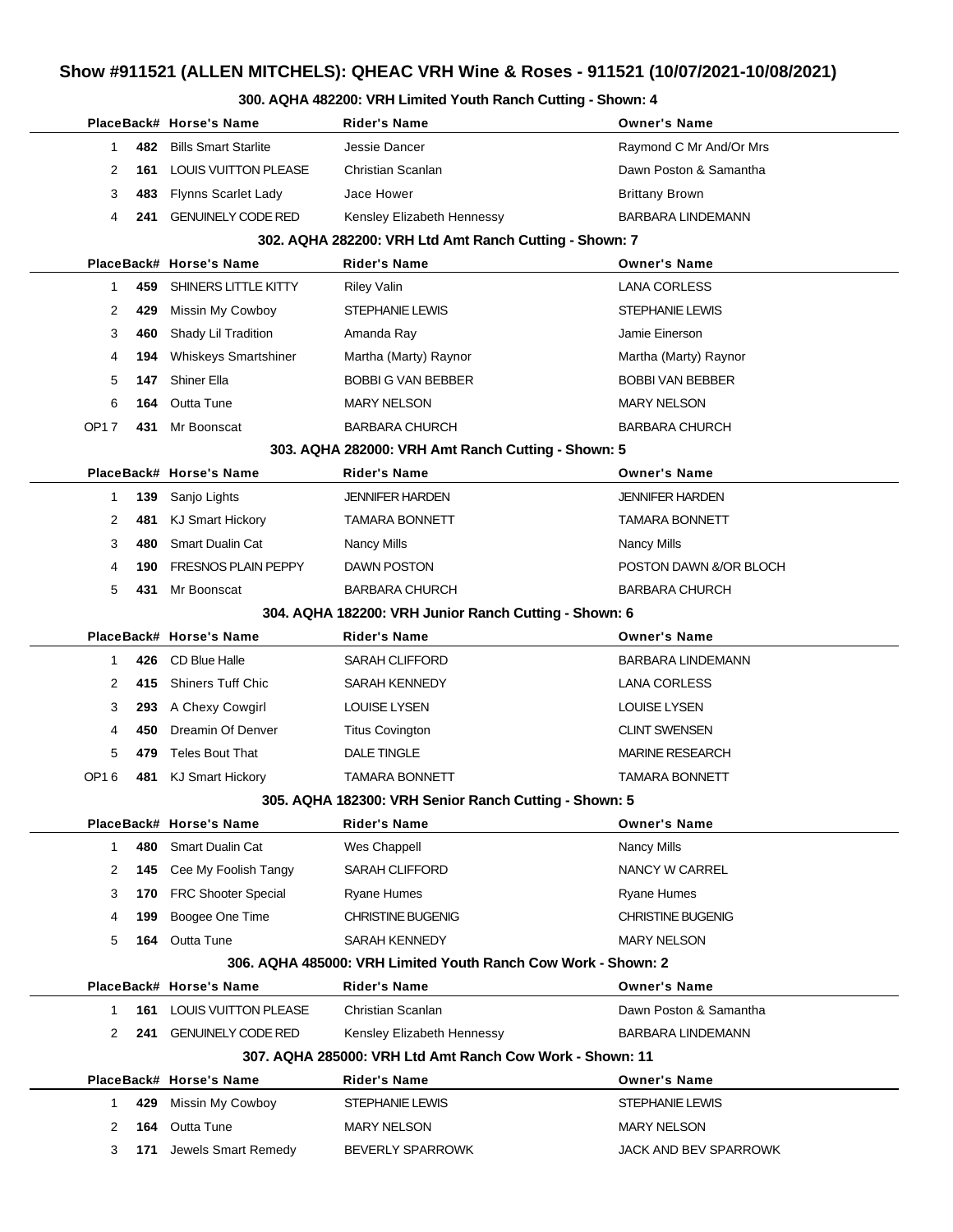## **Show #911521 (ALLEN MITCHELS): QHEAC VRH Wine & Roses - 911521 (10/07/2021-10/08/2021)**

#### **300. AQHA 482200: VRH Limited Youth Ranch Cutting - Shown: 4**

|                    | PlaceBack# Horse's Name                                       | <b>Rider's Name</b>                                      | <b>Owner's Name</b>      |  |  |  |  |  |  |
|--------------------|---------------------------------------------------------------|----------------------------------------------------------|--------------------------|--|--|--|--|--|--|
| 482<br>1           | <b>Bills Smart Starlite</b>                                   | Jessie Dancer                                            | Raymond C Mr And/Or Mrs  |  |  |  |  |  |  |
| 2<br>161           | <b>LOUIS VUITTON PLEASE</b>                                   | Christian Scanlan                                        | Dawn Poston & Samantha   |  |  |  |  |  |  |
| 3<br>483           | <b>Flynns Scarlet Lady</b>                                    | Jace Hower                                               | <b>Brittany Brown</b>    |  |  |  |  |  |  |
| 4<br>241           | <b>GENUINELY CODE RED</b>                                     | Kensley Elizabeth Hennessy                               | <b>BARBARA LINDEMANN</b> |  |  |  |  |  |  |
|                    | 302. AQHA 282200: VRH Ltd Amt Ranch Cutting - Shown: 7        |                                                          |                          |  |  |  |  |  |  |
|                    | PlaceBack# Horse's Name                                       | <b>Rider's Name</b>                                      | <b>Owner's Name</b>      |  |  |  |  |  |  |
| 459<br>1           | SHINERS LITTLE KITTY                                          | <b>Riley Valin</b>                                       | <b>LANA CORLESS</b>      |  |  |  |  |  |  |
| 2<br>429           | Missin My Cowboy                                              | <b>STEPHANIE LEWIS</b>                                   | <b>STEPHANIE LEWIS</b>   |  |  |  |  |  |  |
| 3<br>460           | Shady Lil Tradition                                           | Amanda Ray                                               | Jamie Einerson           |  |  |  |  |  |  |
| 4<br>194           | <b>Whiskeys Smartshiner</b>                                   | Martha (Marty) Raynor                                    | Martha (Marty) Raynor    |  |  |  |  |  |  |
| 5<br>147           | Shiner Ella                                                   | <b>BOBBI G VAN BEBBER</b>                                | <b>BOBBI VAN BEBBER</b>  |  |  |  |  |  |  |
| 6<br>164           | <b>Outta Tune</b>                                             | <b>MARY NELSON</b>                                       | <b>MARY NELSON</b>       |  |  |  |  |  |  |
| <b>OP17</b><br>431 | Mr Boonscat                                                   | <b>BARBARA CHURCH</b>                                    | <b>BARBARA CHURCH</b>    |  |  |  |  |  |  |
|                    |                                                               | 303. AQHA 282000: VRH Amt Ranch Cutting - Shown: 5       |                          |  |  |  |  |  |  |
|                    | PlaceBack# Horse's Name                                       | <b>Rider's Name</b>                                      | <b>Owner's Name</b>      |  |  |  |  |  |  |
| 139<br>1           | Sanjo Lights                                                  | <b>JENNIFER HARDEN</b>                                   | <b>JENNIFER HARDEN</b>   |  |  |  |  |  |  |
| 2<br>481           | <b>KJ Smart Hickory</b>                                       | <b>TAMARA BONNETT</b>                                    | <b>TAMARA BONNETT</b>    |  |  |  |  |  |  |
| 3<br>480           | <b>Smart Dualin Cat</b>                                       | <b>Nancy Mills</b>                                       | Nancy Mills              |  |  |  |  |  |  |
| 4<br>190           | <b>FRESNOS PLAIN PEPPY</b>                                    | DAWN POSTON                                              | POSTON DAWN &/OR BLOCH   |  |  |  |  |  |  |
| 5<br>431           | Mr Boonscat                                                   | <b>BARBARA CHURCH</b>                                    | <b>BARBARA CHURCH</b>    |  |  |  |  |  |  |
|                    |                                                               | 304. AQHA 182200: VRH Junior Ranch Cutting - Shown: 6    |                          |  |  |  |  |  |  |
|                    | PlaceBack# Horse's Name                                       | <b>Rider's Name</b>                                      | <b>Owner's Name</b>      |  |  |  |  |  |  |
| 426<br>1           | CD Blue Halle                                                 | SARAH CLIFFORD                                           | <b>BARBARA LINDEMANN</b> |  |  |  |  |  |  |
| 2<br>415           | <b>Shiners Tuff Chic</b>                                      | SARAH KENNEDY                                            | <b>LANA CORLESS</b>      |  |  |  |  |  |  |
| 3<br>293           | A Chexy Cowgirl                                               | <b>LOUISE LYSEN</b>                                      | <b>LOUISE LYSEN</b>      |  |  |  |  |  |  |
| 4<br>450           | Dreamin Of Denver                                             | <b>Titus Covington</b>                                   | <b>CLINT SWENSEN</b>     |  |  |  |  |  |  |
| 5<br>479           | <b>Teles Bout That</b>                                        | <b>DALE TINGLE</b>                                       | <b>MARINE RESEARCH</b>   |  |  |  |  |  |  |
| OP16<br>481        | <b>KJ Smart Hickory</b>                                       | <b>TAMARA BONNETT</b>                                    | <b>TAMARA BONNETT</b>    |  |  |  |  |  |  |
|                    |                                                               | 305. AQHA 182300: VRH Senior Ranch Cutting - Shown: 5    |                          |  |  |  |  |  |  |
|                    | PlaceBack# Horse's Name                                       | <b>Rider's Name</b>                                      | <b>Owner's Name</b>      |  |  |  |  |  |  |
| 480<br>1           | <b>Smart Dualin Cat</b>                                       | Wes Chappell                                             | <b>Nancy Mills</b>       |  |  |  |  |  |  |
| 2<br>145           | Cee My Foolish Tangy                                          | <b>SARAH CLIFFORD</b>                                    | NANCY W CARREL           |  |  |  |  |  |  |
| 3<br>170           | <b>FRC Shooter Special</b>                                    | Ryane Humes                                              | Ryane Humes              |  |  |  |  |  |  |
| 199<br>4           | Boogee One Time                                               | <b>CHRISTINE BUGENIG</b>                                 | <b>CHRISTINE BUGENIG</b> |  |  |  |  |  |  |
| 5                  | 164 Outta Tune                                                | <b>SARAH KENNEDY</b>                                     | <b>MARY NELSON</b>       |  |  |  |  |  |  |
|                    | 306. AQHA 485000: VRH Limited Youth Ranch Cow Work - Shown: 2 |                                                          |                          |  |  |  |  |  |  |
|                    | PlaceBack# Horse's Name                                       | <b>Rider's Name</b>                                      | <b>Owner's Name</b>      |  |  |  |  |  |  |
| 161<br>1           | <b>LOUIS VUITTON PLEASE</b>                                   | Christian Scanlan                                        | Dawn Poston & Samantha   |  |  |  |  |  |  |
| 2                  | 241 GENUINELY CODE RED                                        | Kensley Elizabeth Hennessy                               | BARBARA LINDEMANN        |  |  |  |  |  |  |
|                    |                                                               | 307, AQHA 285000: VRH Ltd Amt Ranch Cow Work - Shown: 11 |                          |  |  |  |  |  |  |
|                    | PlaceBack# Horse's Name                                       | <b>Rider's Name</b>                                      | <b>Owner's Name</b>      |  |  |  |  |  |  |
| 429<br>1.          | Missin My Cowboy                                              | STEPHANIE LEWIS                                          | STEPHANIE LEWIS          |  |  |  |  |  |  |
| 2<br>164           | <b>Outta Tune</b>                                             | <b>MARY NELSON</b>                                       | <b>MARY NELSON</b>       |  |  |  |  |  |  |
| 3<br>171           | Jewels Smart Remedy                                           | <b>BEVERLY SPARROWK</b>                                  | JACK AND BEV SPARROWK    |  |  |  |  |  |  |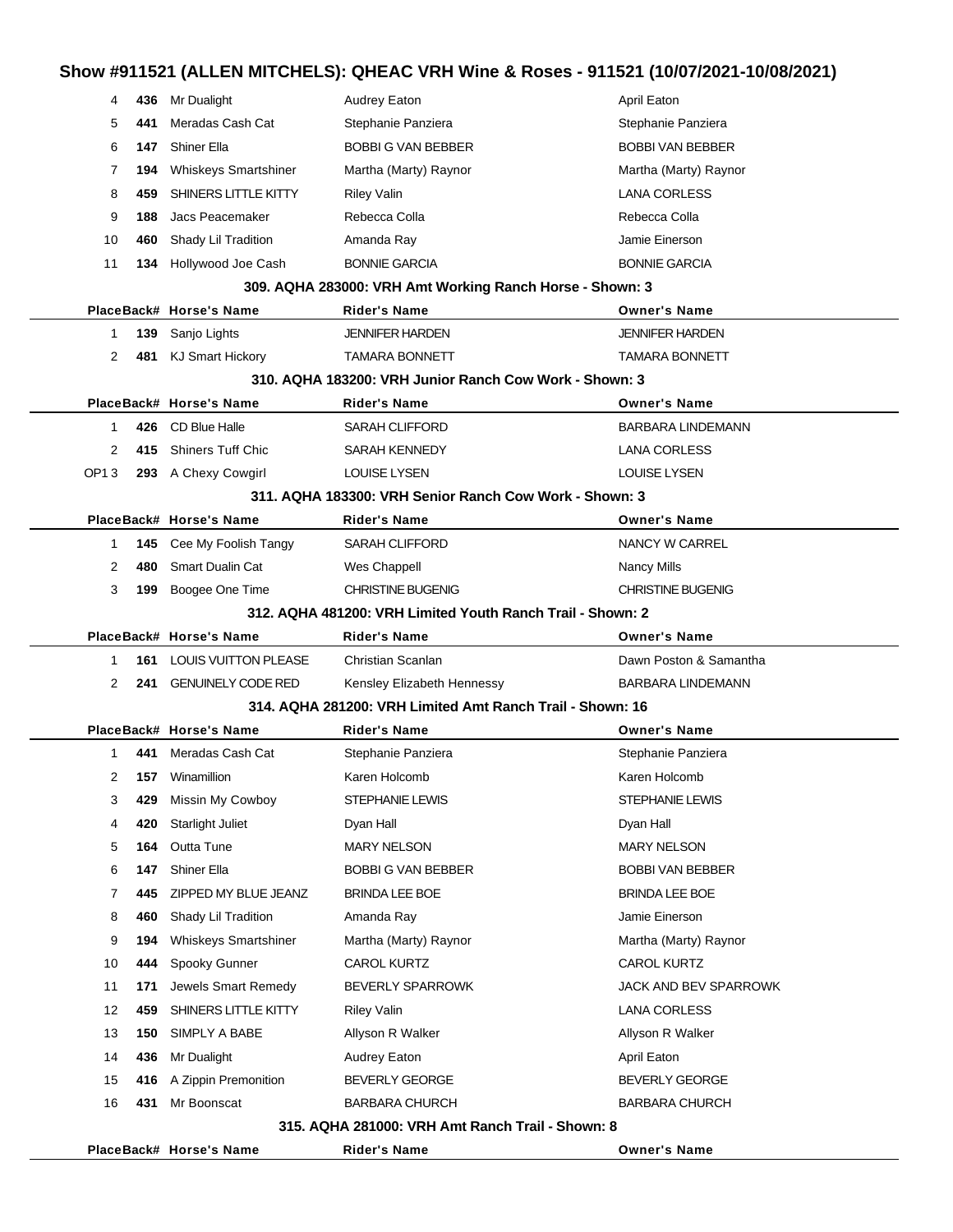#### **Show #911521 (ALLEN MITCHELS): QHEAC VRH Wine & Roses - 911521 (10/07/2021-10/08/2021)**

| 4                                                | 436 - | Mr Dualight                 | <b>Audrey Eaton</b>                                        | April Eaton              |  |  |  |
|--------------------------------------------------|-------|-----------------------------|------------------------------------------------------------|--------------------------|--|--|--|
| 5                                                | 441   | Meradas Cash Cat            | Stephanie Panziera                                         | Stephanie Panziera       |  |  |  |
| 6                                                | 147   | Shiner Ella                 | <b>BOBBI G VAN BEBBER</b>                                  | <b>BOBBI VAN BEBBER</b>  |  |  |  |
| 7                                                | 194   | Whiskeys Smartshiner        | Martha (Marty) Raynor                                      | Martha (Marty) Raynor    |  |  |  |
| 8                                                | 459   | SHINERS LITTLE KITTY        | <b>Riley Valin</b>                                         | <b>LANA CORLESS</b>      |  |  |  |
| 9                                                | 188   | Jacs Peacemaker             | Rebecca Colla                                              | Rebecca Colla            |  |  |  |
| 10                                               | 460.  | Shady Lil Tradition         | Amanda Ray                                                 | Jamie Einerson           |  |  |  |
| 11                                               | 134.  | Hollywood Joe Cash          | <b>BONNIE GARCIA</b>                                       | <b>BONNIE GARCIA</b>     |  |  |  |
|                                                  |       |                             | 309. AQHA 283000: VRH Amt Working Ranch Horse - Shown: 3   |                          |  |  |  |
|                                                  |       | PlaceBack# Horse's Name     | <b>Rider's Name</b>                                        | <b>Owner's Name</b>      |  |  |  |
| 1                                                |       | 139 Sanjo Lights            | <b>JENNIFER HARDEN</b>                                     | <b>JENNIFER HARDEN</b>   |  |  |  |
| 2                                                |       | 481 KJ Smart Hickory        | <b>TAMARA BONNETT</b>                                      | <b>TAMARA BONNETT</b>    |  |  |  |
|                                                  |       |                             | 310. AQHA 183200: VRH Junior Ranch Cow Work - Shown: 3     |                          |  |  |  |
|                                                  |       | PlaceBack# Horse's Name     | <b>Rider's Name</b>                                        | <b>Owner's Name</b>      |  |  |  |
| 1                                                |       | 426 CD Blue Halle           | <b>SARAH CLIFFORD</b>                                      | <b>BARBARA LINDEMANN</b> |  |  |  |
| 2                                                | 415   | <b>Shiners Tuff Chic</b>    | SARAH KENNEDY                                              | <b>LANA CORLESS</b>      |  |  |  |
| OP13                                             |       | 293 A Chexy Cowgirl         | <b>LOUISE LYSEN</b>                                        | <b>LOUISE LYSEN</b>      |  |  |  |
|                                                  |       |                             | 311. AQHA 183300: VRH Senior Ranch Cow Work - Shown: 3     |                          |  |  |  |
|                                                  |       | PlaceBack# Horse's Name     | <b>Rider's Name</b>                                        | <b>Owner's Name</b>      |  |  |  |
| 1                                                | 145   | Cee My Foolish Tangy        | <b>SARAH CLIFFORD</b>                                      | NANCY W CARREL           |  |  |  |
| 2                                                | 480   | <b>Smart Dualin Cat</b>     | Wes Chappell                                               | Nancy Mills              |  |  |  |
| 3                                                | 199   | Boogee One Time             | <b>CHRISTINE BUGENIG</b>                                   | <b>CHRISTINE BUGENIG</b> |  |  |  |
|                                                  |       |                             | 312. AQHA 481200: VRH Limited Youth Ranch Trail - Shown: 2 |                          |  |  |  |
|                                                  |       | PlaceBack# Horse's Name     | <b>Rider's Name</b>                                        | <b>Owner's Name</b>      |  |  |  |
| -1                                               | 161   | <b>LOUIS VUITTON PLEASE</b> | Christian Scanlan                                          | Dawn Poston & Samantha   |  |  |  |
| $\overline{2}$                                   | 241   | <b>GENUINELY CODE RED</b>   | Kensley Elizabeth Hennessy                                 | <b>BARBARA LINDEMANN</b> |  |  |  |
|                                                  |       |                             | 314. AQHA 281200: VRH Limited Amt Ranch Trail - Shown: 16  |                          |  |  |  |
|                                                  |       | PlaceBack# Horse's Name     | <b>Rider's Name</b>                                        | <b>Owner's Name</b>      |  |  |  |
| 1                                                | 441   | Meradas Cash Cat            | Stephanie Panziera                                         | Stephanie Panziera       |  |  |  |
| 2                                                |       | <b>157</b> Winamillion      | Karen Holcomb                                              | Karen Holcomb            |  |  |  |
| 3                                                | 429   | Missin My Cowboy            | STEPHANIE LEWIS                                            | STEPHANIE LEWIS          |  |  |  |
| 4                                                | 420   | <b>Starlight Juliet</b>     | Dyan Hall                                                  | Dyan Hall                |  |  |  |
| 5                                                | 164   | Outta Tune                  | <b>MARY NELSON</b>                                         | <b>MARY NELSON</b>       |  |  |  |
| 6                                                | 147   | <b>Shiner Ella</b>          | <b>BOBBI G VAN BEBBER</b>                                  | <b>BOBBI VAN BEBBER</b>  |  |  |  |
| 7                                                | 445   | ZIPPED MY BLUE JEANZ        | <b>BRINDA LEE BOE</b>                                      | <b>BRINDA LEE BOE</b>    |  |  |  |
| 8                                                | 460   | Shady Lil Tradition         | Amanda Ray                                                 | Jamie Einerson           |  |  |  |
| 9                                                | 194   | <b>Whiskeys Smartshiner</b> | Martha (Marty) Raynor                                      | Martha (Marty) Raynor    |  |  |  |
| 10                                               | 444   | Spooky Gunner               | CAROL KURTZ                                                | <b>CAROL KURTZ</b>       |  |  |  |
| 11                                               | 171   | Jewels Smart Remedy         | BEVERLY SPARROWK                                           | JACK AND BEV SPARROWK    |  |  |  |
| 12                                               | 459   | SHINERS LITTLE KITTY        | <b>Riley Valin</b>                                         | <b>LANA CORLESS</b>      |  |  |  |
| 13                                               | 150   | SIMPLY A BABE               | Allyson R Walker                                           | Allyson R Walker         |  |  |  |
| 14                                               | 436   | Mr Dualight                 | Audrey Eaton                                               | April Eaton              |  |  |  |
| 15                                               |       | 416 A Zippin Premonition    | <b>BEVERLY GEORGE</b>                                      | BEVERLY GEORGE           |  |  |  |
| 16                                               | 431   | Mr Boonscat                 | <b>BARBARA CHURCH</b>                                      | <b>BARBARA CHURCH</b>    |  |  |  |
| 315. AQHA 281000: VRH Amt Ranch Trail - Shown: 8 |       |                             |                                                            |                          |  |  |  |
|                                                  |       |                             |                                                            |                          |  |  |  |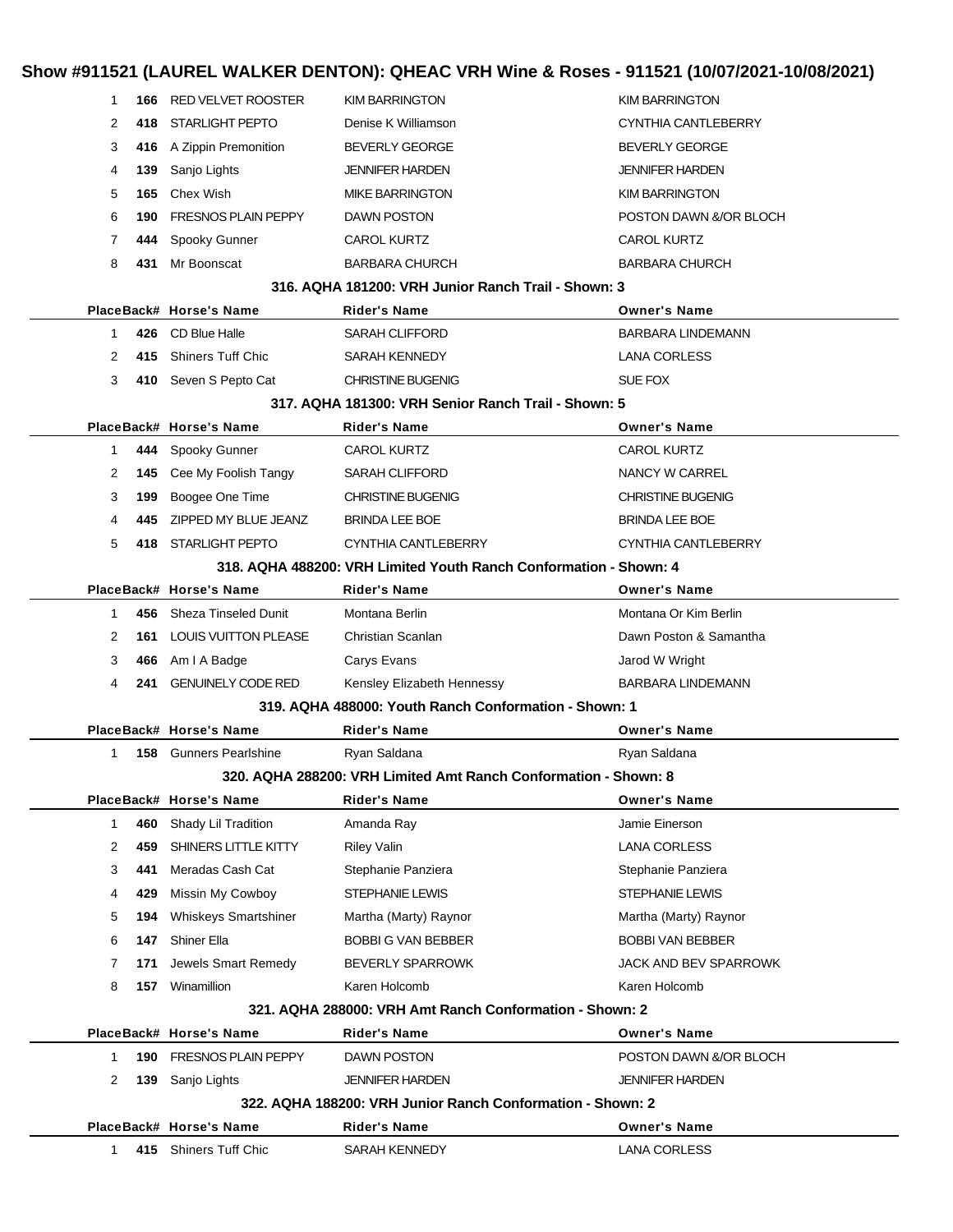# **Show #911521 (LAUREL WALKER DENTON): QHEAC VRH Wine & Roses - 911521 (10/07/2021-10/08/2021)**

|              |     |                               | <b>I</b> LAVILLE MALINER DENTURI, WILAY MILITARI MIKU WANGO DI IGET (IGNOTEVET IGNOTEVET) |                              |
|--------------|-----|-------------------------------|-------------------------------------------------------------------------------------------|------------------------------|
| 1            | 166 | <b>RED VELVET ROOSTER</b>     | <b>KIM BARRINGTON</b>                                                                     | <b>KIM BARRINGTON</b>        |
| 2            | 418 | <b>STARLIGHT PEPTO</b>        | Denise K Williamson                                                                       | <b>CYNTHIA CANTLEBERRY</b>   |
| 3            | 416 | A Zippin Premonition          | <b>BEVERLY GEORGE</b>                                                                     | <b>BEVERLY GEORGE</b>        |
| 4            | 139 | Sanjo Lights                  | <b>JENNIFER HARDEN</b>                                                                    | <b>JENNIFER HARDEN</b>       |
| 5            | 165 | Chex Wish                     | <b>MIKE BARRINGTON</b>                                                                    | <b>KIM BARRINGTON</b>        |
| 6            | 190 | <b>FRESNOS PLAIN PEPPY</b>    | <b>DAWN POSTON</b>                                                                        | POSTON DAWN &/OR BLOCH       |
| 7            | 444 | Spooky Gunner                 | <b>CAROL KURTZ</b>                                                                        | <b>CAROL KURTZ</b>           |
| 8            | 431 | Mr Boonscat                   | <b>BARBARA CHURCH</b>                                                                     | <b>BARBARA CHURCH</b>        |
|              |     |                               | 316. AQHA 181200: VRH Junior Ranch Trail - Shown: 3                                       |                              |
|              |     | PlaceBack# Horse's Name       | <b>Rider's Name</b>                                                                       | <b>Owner's Name</b>          |
| 1            | 426 | CD Blue Halle                 | <b>SARAH CLIFFORD</b>                                                                     | <b>BARBARA LINDEMANN</b>     |
| 2            | 415 | <b>Shiners Tuff Chic</b>      | SARAH KENNEDY                                                                             | <b>LANA CORLESS</b>          |
| 3            |     | 410 Seven S Pepto Cat         | <b>CHRISTINE BUGENIG</b>                                                                  | SUE FOX                      |
|              |     |                               | 317, AQHA 181300: VRH Senior Ranch Trail - Shown: 5                                       |                              |
|              |     | PlaceBack# Horse's Name       | <b>Rider's Name</b>                                                                       | <b>Owner's Name</b>          |
| $\mathbf{1}$ | 444 | Spooky Gunner                 | <b>CAROL KURTZ</b>                                                                        | <b>CAROL KURTZ</b>           |
| 2            | 145 | Cee My Foolish Tangy          | <b>SARAH CLIFFORD</b>                                                                     | NANCY W CARREL               |
| 3            | 199 | Boogee One Time               | <b>CHRISTINE BUGENIG</b>                                                                  | <b>CHRISTINE BUGENIG</b>     |
| 4            | 445 | ZIPPED MY BLUE JEANZ          | <b>BRINDA LEE BOE</b>                                                                     | <b>BRINDA LEE BOE</b>        |
| 5            |     | 418 STARLIGHT PEPTO           | CYNTHIA CANTLEBERRY                                                                       | CYNTHIA CANTLEBERRY          |
|              |     |                               | 318. AQHA 488200: VRH Limited Youth Ranch Conformation - Shown: 4                         |                              |
|              |     | PlaceBack# Horse's Name       | <b>Rider's Name</b>                                                                       | <b>Owner's Name</b>          |
| $\mathbf{1}$ | 456 | <b>Sheza Tinseled Dunit</b>   | Montana Berlin                                                                            | Montana Or Kim Berlin        |
| 2            | 161 | <b>LOUIS VUITTON PLEASE</b>   | Christian Scanlan                                                                         | Dawn Poston & Samantha       |
| 3            | 466 | Am I A Badge                  | Carys Evans                                                                               | Jarod W Wright               |
| 4            | 241 | <b>GENUINELY CODE RED</b>     | Kensley Elizabeth Hennessy                                                                | BARBARA LINDEMANN            |
|              |     |                               | 319. AQHA 488000: Youth Ranch Conformation - Shown: 1                                     |                              |
|              |     | PlaceBack# Horse's Name       | <b>Rider's Name</b>                                                                       | <b>Owner's Name</b>          |
| 1            |     | <b>158</b> Gunners Pearlshine | Ryan Saldana                                                                              | Ryan Saldana                 |
|              |     |                               | 320. AQHA 288200: VRH Limited Amt Ranch Conformation - Shown: 8                           |                              |
|              |     | PlaceBack# Horse's Name       | <b>Rider's Name</b>                                                                       | <b>Owner's Name</b>          |
| $\mathbf{1}$ | 460 | Shady Lil Tradition           | Amanda Ray                                                                                | Jamie Einerson               |
| 2            | 459 | SHINERS LITTLE KITTY          | <b>Riley Valin</b>                                                                        | <b>LANA CORLESS</b>          |
| 3            | 441 | Meradas Cash Cat              | Stephanie Panziera                                                                        | Stephanie Panziera           |
| 4            | 429 | Missin My Cowboy              | <b>STEPHANIE LEWIS</b>                                                                    | STEPHANIE LEWIS              |
| 5            | 194 | <b>Whiskeys Smartshiner</b>   | Martha (Marty) Raynor                                                                     | Martha (Marty) Raynor        |
| 6            | 147 | Shiner Ella                   | <b>BOBBI G VAN BEBBER</b>                                                                 | <b>BOBBI VAN BEBBER</b>      |
| 7            | 171 | Jewels Smart Remedy           | <b>BEVERLY SPARROWK</b>                                                                   | <b>JACK AND BEV SPARROWK</b> |
| 8            | 157 | Winamillion                   | Karen Holcomb                                                                             | Karen Holcomb                |
|              |     |                               | 321. AQHA 288000: VRH Amt Ranch Conformation - Shown: 2                                   |                              |
|              |     | PlaceBack# Horse's Name       | <b>Rider's Name</b>                                                                       | <b>Owner's Name</b>          |
| 1            | 190 | <b>FRESNOS PLAIN PEPPY</b>    | DAWN POSTON                                                                               | POSTON DAWN &/OR BLOCH       |
| 2            | 139 | Sanjo Lights                  | <b>JENNIFER HARDEN</b>                                                                    | <b>JENNIFER HARDEN</b>       |
|              |     |                               | 322, AQHA 188200: VRH Junior Ranch Conformation - Shown: 2                                |                              |
|              |     | PlaceBack# Horse's Name       | <b>Rider's Name</b>                                                                       | <b>Owner's Name</b>          |
| $\mathbf{1}$ |     | 415 Shiners Tuff Chic         | SARAH KENNEDY                                                                             | <b>LANA CORLESS</b>          |
|              |     |                               |                                                                                           |                              |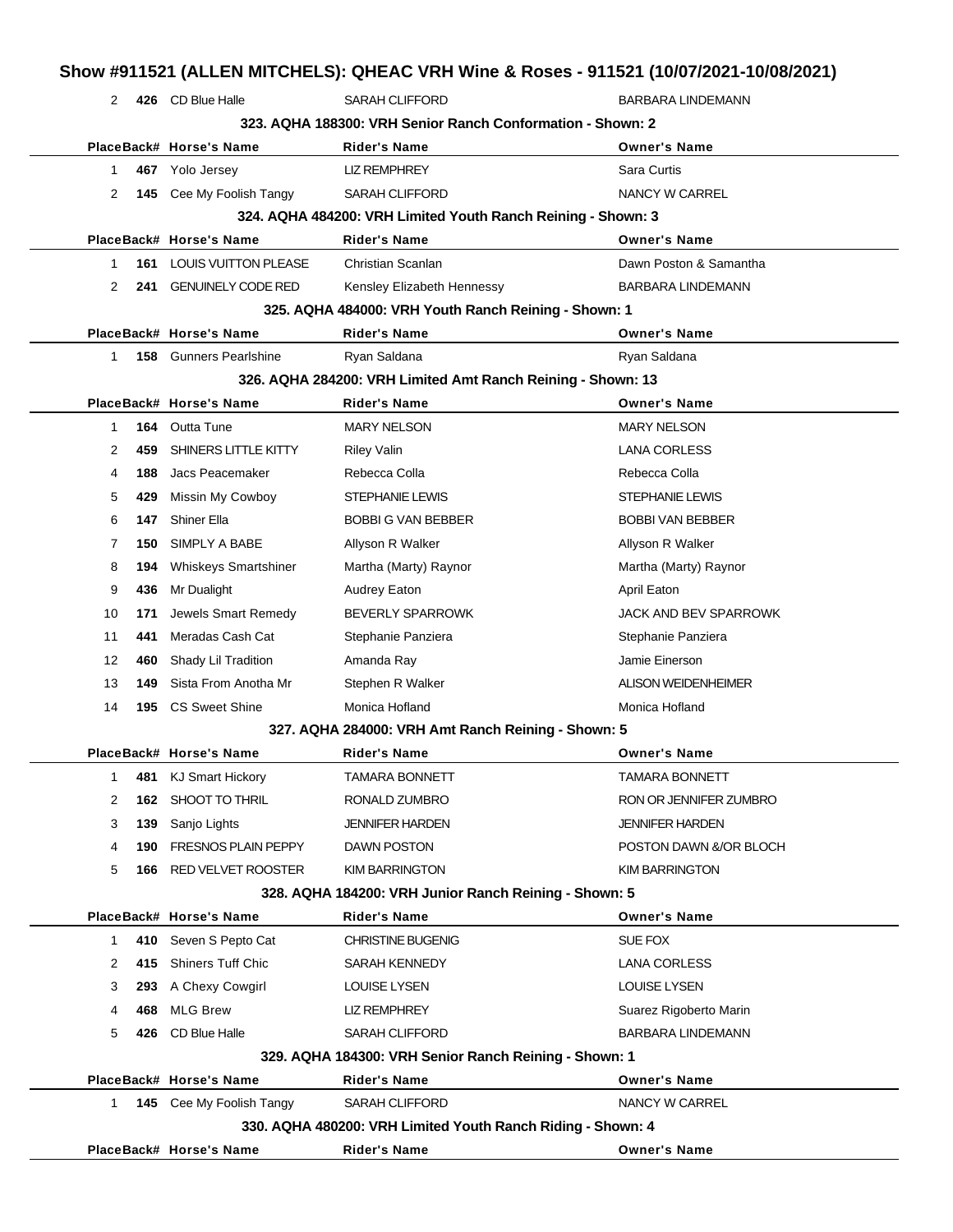|                      |     | 2 426 CD Blue Halle             | <b>SARAH CLIFFORD</b>                                        | <b>BARBARA LINDEMANN</b>   |
|----------------------|-----|---------------------------------|--------------------------------------------------------------|----------------------------|
|                      |     |                                 | 323. AQHA 188300: VRH Senior Ranch Conformation - Shown: 2   |                            |
|                      |     | PlaceBack# Horse's Name         | <b>Rider's Name</b>                                          | <b>Owner's Name</b>        |
| $\mathbf{1}$         |     | 467 Yolo Jersey                 | <b>LIZ REMPHREY</b>                                          | Sara Curtis                |
| 2                    | 145 | Cee My Foolish Tangy            | <b>SARAH CLIFFORD</b>                                        | NANCY W CARREL             |
|                      |     |                                 | 324. AQHA 484200: VRH Limited Youth Ranch Reining - Shown: 3 |                            |
|                      |     | PlaceBack# Horse's Name         | <b>Rider's Name</b>                                          | <b>Owner's Name</b>        |
| $\mathbf{1}$         |     | <b>161 LOUIS VUITTON PLEASE</b> | Christian Scanlan                                            | Dawn Poston & Samantha     |
| 2                    | 241 | <b>GENUINELY CODE RED</b>       | Kensley Elizabeth Hennessy                                   | <b>BARBARA LINDEMANN</b>   |
|                      |     |                                 | 325. AQHA 484000: VRH Youth Ranch Reining - Shown: 1         |                            |
|                      |     | PlaceBack# Horse's Name         | <b>Rider's Name</b>                                          | <b>Owner's Name</b>        |
| $\mathbf{1}$         | 158 | <b>Gunners Pearlshine</b>       | Ryan Saldana                                                 | Ryan Saldana               |
|                      |     |                                 | 326. AQHA 284200: VRH Limited Amt Ranch Reining - Shown: 13  |                            |
|                      |     | PlaceBack# Horse's Name         | <b>Rider's Name</b>                                          | <b>Owner's Name</b>        |
| $\mathbf{1}$         | 164 | Outta Tune                      | <b>MARY NELSON</b>                                           | <b>MARY NELSON</b>         |
| 2                    | 459 | SHINERS LITTLE KITTY            | <b>Riley Valin</b>                                           | <b>LANA CORLESS</b>        |
| 4                    | 188 | Jacs Peacemaker                 | Rebecca Colla                                                | Rebecca Colla              |
| 5                    | 429 | Missin My Cowboy                | STEPHANIE LEWIS                                              | STEPHANIE LEWIS            |
| 6                    | 147 | <b>Shiner Ella</b>              | <b>BOBBI G VAN BEBBER</b>                                    | <b>BOBBI VAN BEBBER</b>    |
| 7                    | 150 | SIMPLY A BABE                   | Allyson R Walker                                             | Allyson R Walker           |
| 8                    | 194 | Whiskeys Smartshiner            | Martha (Marty) Raynor                                        | Martha (Marty) Raynor      |
| 9                    | 436 | Mr Dualight                     | <b>Audrey Eaton</b>                                          | April Eaton                |
| 10                   | 171 | Jewels Smart Remedy             | <b>BEVERLY SPARROWK</b>                                      | JACK AND BEV SPARROWK      |
| 11                   | 441 | Meradas Cash Cat                | Stephanie Panziera                                           | Stephanie Panziera         |
| 12                   | 460 | Shady Lil Tradition             | Amanda Ray                                                   | Jamie Einerson             |
| 13                   | 149 | Sista From Anotha Mr            | Stephen R Walker                                             | <b>ALISON WEIDENHEIMER</b> |
| 14                   | 195 | <b>CS Sweet Shine</b>           | Monica Hofland                                               | Monica Hofland             |
|                      |     |                                 | 327. AQHA 284000: VRH Amt Ranch Reining - Shown: 5           |                            |
|                      |     | PlaceBack# Horse's Name         | <b>Rider's Name</b>                                          | <b>Owner's Name</b>        |
| 1                    | 481 | <b>KJ Smart Hickory</b>         | <b>TAMARA BONNETT</b>                                        | TAMARA BONNETT             |
| 2                    | 162 | SHOOT TO THRIL                  | RONALD ZUMBRO                                                | RON OR JENNIFER ZUMBRO     |
| 3                    | 139 | Sanjo Lights                    | <b>JENNIFER HARDEN</b>                                       | <b>JENNIFER HARDEN</b>     |
| 4                    | 190 | <b>FRESNOS PLAIN PEPPY</b>      | <b>DAWN POSTON</b>                                           | POSTON DAWN &/OR BLOCH     |
| 5                    | 166 | RED VELVET ROOSTER              | <b>KIM BARRINGTON</b>                                        | KIM BARRINGTON             |
|                      |     |                                 | 328. AQHA 184200: VRH Junior Ranch Reining - Shown: 5        |                            |
|                      |     | PlaceBack# Horse's Name         | <b>Rider's Name</b>                                          | <b>Owner's Name</b>        |
| $\mathbf{1}$         | 410 | Seven S Pepto Cat               | <b>CHRISTINE BUGENIG</b>                                     | SUE FOX                    |
| $\mathbf{2}^{\circ}$ | 415 | Shiners Tuff Chic               | SARAH KENNEDY                                                | <b>LANA CORLESS</b>        |
| 3                    | 293 | A Chexy Cowgirl                 | <b>LOUISE LYSEN</b>                                          | <b>LOUISE LYSEN</b>        |
| 4                    | 468 | <b>MLG Brew</b>                 | <b>LIZ REMPHREY</b>                                          | Suarez Rigoberto Marin     |
| 5                    | 426 | CD Blue Halle                   | <b>SARAH CLIFFORD</b>                                        | <b>BARBARA LINDEMANN</b>   |
|                      |     |                                 | 329. AQHA 184300: VRH Senior Ranch Reining - Shown: 1        |                            |
|                      |     | PlaceBack# Horse's Name         | <b>Rider's Name</b>                                          | <b>Owner's Name</b>        |
| $\mathbf{1}$         |     | 145 Cee My Foolish Tangy        | <b>SARAH CLIFFORD</b>                                        | NANCY W CARREL             |
|                      |     |                                 | 330. AQHA 480200: VRH Limited Youth Ranch Riding - Shown: 4  |                            |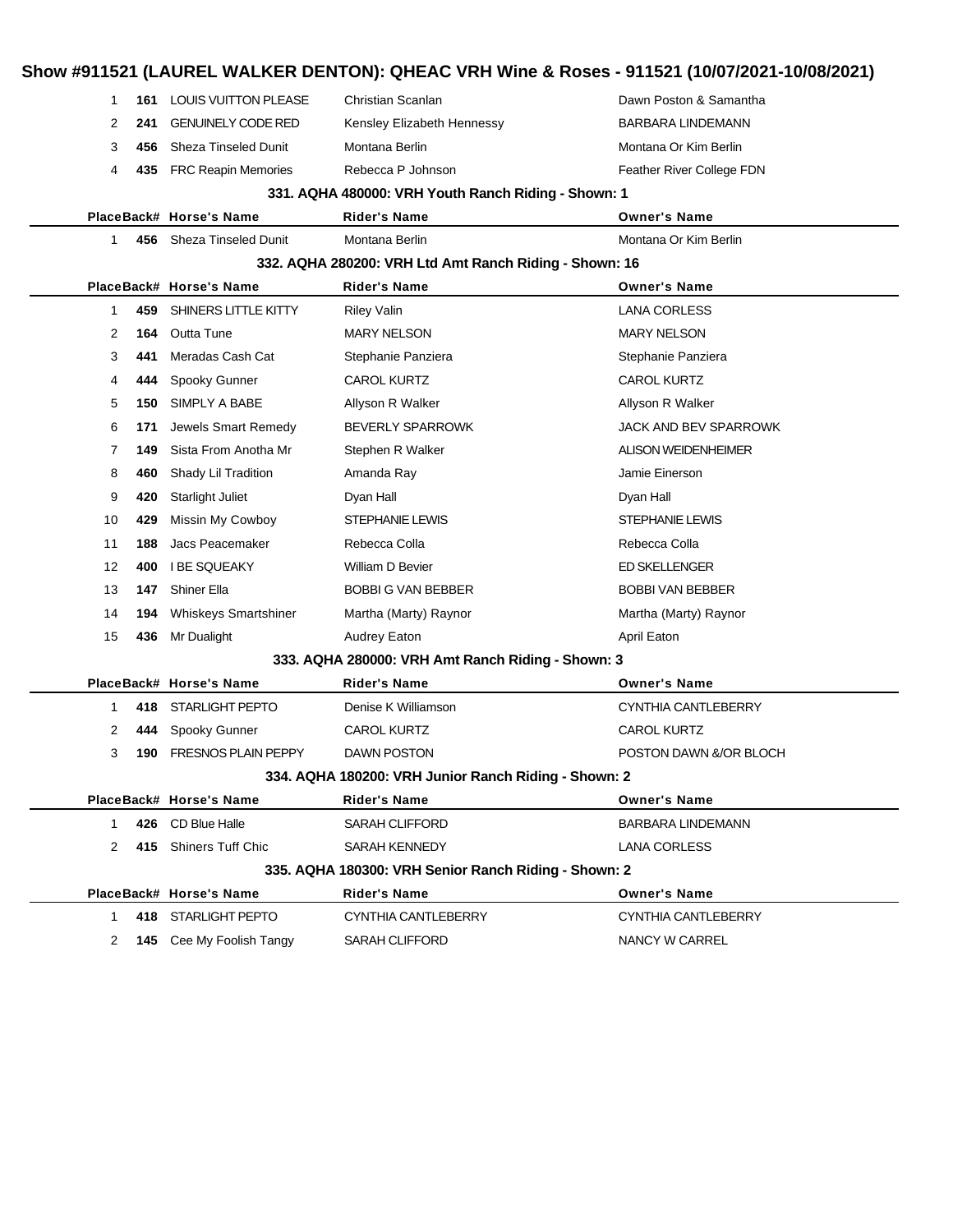|  |                                                      |     |                                |                                                        | Show #911521 (LAUREL WALKER DENTON): QHEAC VRH Wine & Roses - 911521 (10/07/2021-10/08/2021) |  |  |  |
|--|------------------------------------------------------|-----|--------------------------------|--------------------------------------------------------|----------------------------------------------------------------------------------------------|--|--|--|
|  | 1                                                    |     | 161 LOUIS VUITTON PLEASE       | Christian Scanlan                                      | Dawn Poston & Samantha                                                                       |  |  |  |
|  | 2                                                    | 241 | <b>GENUINELY CODE RED</b>      | Kensley Elizabeth Hennessy                             | <b>BARBARA LINDEMANN</b>                                                                     |  |  |  |
|  | 3                                                    | 456 | <b>Sheza Tinseled Dunit</b>    | Montana Berlin                                         | Montana Or Kim Berlin                                                                        |  |  |  |
|  | 4                                                    | 435 | <b>FRC Reapin Memories</b>     | Rebecca P Johnson                                      | Feather River College FDN                                                                    |  |  |  |
|  |                                                      |     |                                | 331. AQHA 480000: VRH Youth Ranch Riding - Shown: 1    |                                                                                              |  |  |  |
|  |                                                      |     | PlaceBack# Horse's Name        | <b>Rider's Name</b>                                    | <b>Owner's Name</b>                                                                          |  |  |  |
|  | 1.                                                   |     | 456 Sheza Tinseled Dunit       | Montana Berlin                                         | Montana Or Kim Berlin                                                                        |  |  |  |
|  |                                                      |     |                                | 332. AQHA 280200: VRH Ltd Amt Ranch Riding - Shown: 16 |                                                                                              |  |  |  |
|  |                                                      |     | PlaceBack# Horse's Name        | <b>Rider's Name</b>                                    | <b>Owner's Name</b>                                                                          |  |  |  |
|  | 1                                                    | 459 | SHINERS LITTLE KITTY           | <b>Riley Valin</b>                                     | <b>LANA CORLESS</b>                                                                          |  |  |  |
|  | 2                                                    | 164 | Outta Tune                     | <b>MARY NELSON</b>                                     | <b>MARY NELSON</b>                                                                           |  |  |  |
|  | 3                                                    | 441 | Meradas Cash Cat               | Stephanie Panziera                                     | Stephanie Panziera                                                                           |  |  |  |
|  | 4                                                    | 444 | Spooky Gunner                  | <b>CAROL KURTZ</b>                                     | <b>CAROL KURTZ</b>                                                                           |  |  |  |
|  | 5                                                    | 150 | SIMPLY A BABE                  | Allyson R Walker                                       | Allyson R Walker                                                                             |  |  |  |
|  | 6                                                    | 171 | Jewels Smart Remedy            | <b>BEVERLY SPARROWK</b>                                | JACK AND BEV SPARROWK                                                                        |  |  |  |
|  | 7                                                    | 149 | Sista From Anotha Mr           | Stephen R Walker                                       | <b>ALISON WEIDENHEIMER</b>                                                                   |  |  |  |
|  | 8                                                    | 460 | Shady Lil Tradition            | Amanda Ray                                             | Jamie Einerson                                                                               |  |  |  |
|  | 9                                                    | 420 | <b>Starlight Juliet</b>        | Dyan Hall                                              | Dyan Hall                                                                                    |  |  |  |
|  | 10                                                   | 429 | Missin My Cowboy               | <b>STEPHANIE LEWIS</b>                                 | <b>STEPHANIE LEWIS</b>                                                                       |  |  |  |
|  | 11                                                   | 188 | Jacs Peacemaker                | Rebecca Colla                                          | Rebecca Colla                                                                                |  |  |  |
|  | $12 \overline{ }$                                    | 400 | <b>I BE SQUEAKY</b>            | William D Bevier                                       | <b>ED SKELLENGER</b>                                                                         |  |  |  |
|  | 13                                                   | 147 | Shiner Ella                    | <b>BOBBI G VAN BEBBER</b>                              | <b>BOBBI VAN BEBBER</b>                                                                      |  |  |  |
|  | 14                                                   | 194 | <b>Whiskeys Smartshiner</b>    | Martha (Marty) Raynor                                  | Martha (Marty) Raynor                                                                        |  |  |  |
|  | 15                                                   | 436 | Mr Dualight                    | <b>Audrey Eaton</b>                                    | April Eaton                                                                                  |  |  |  |
|  |                                                      |     |                                | 333. AQHA 280000: VRH Amt Ranch Riding - Shown: 3      |                                                                                              |  |  |  |
|  |                                                      |     | PlaceBack# Horse's Name        | <b>Rider's Name</b>                                    | <b>Owner's Name</b>                                                                          |  |  |  |
|  | 1.                                                   | 418 | STARLIGHT PEPTO                | Denise K Williamson                                    | CYNTHIA CANTLEBERRY                                                                          |  |  |  |
|  | 2                                                    |     | 444 Spooky Gunner              | <b>CAROL KURTZ</b>                                     | <b>CAROL KURTZ</b>                                                                           |  |  |  |
|  | 3                                                    |     | <b>190 FRESNOS PLAIN PEPPY</b> | <b>DAWN POSTON</b>                                     | POSTON DAWN &/OR BLOCH                                                                       |  |  |  |
|  | 334. AQHA 180200: VRH Junior Ranch Riding - Shown: 2 |     |                                |                                                        |                                                                                              |  |  |  |
|  |                                                      |     | PlaceBack# Horse's Name        | Rider's Name                                           | <b>Owner's Name</b>                                                                          |  |  |  |
|  | 1.                                                   |     | 426 CD Blue Halle              | <b>SARAH CLIFFORD</b>                                  | <b>BARBARA LINDEMANN</b>                                                                     |  |  |  |
|  | 2                                                    |     | 415 Shiners Tuff Chic          | SARAH KENNEDY                                          | <b>LANA CORLESS</b>                                                                          |  |  |  |
|  |                                                      |     |                                | 335. AQHA 180300: VRH Senior Ranch Riding - Shown: 2   |                                                                                              |  |  |  |
|  |                                                      |     | PlaceBack# Horse's Name        | <b>Rider's Name</b>                                    | <b>Owner's Name</b>                                                                          |  |  |  |
|  | 1.                                                   |     | 418 STARLIGHT PEPTO            | CYNTHIA CANTLEBERRY                                    | CYNTHIA CANTLEBERRY                                                                          |  |  |  |
|  | 2                                                    |     | 145 Cee My Foolish Tangy       | <b>SARAH CLIFFORD</b>                                  | NANCY W CARREL                                                                               |  |  |  |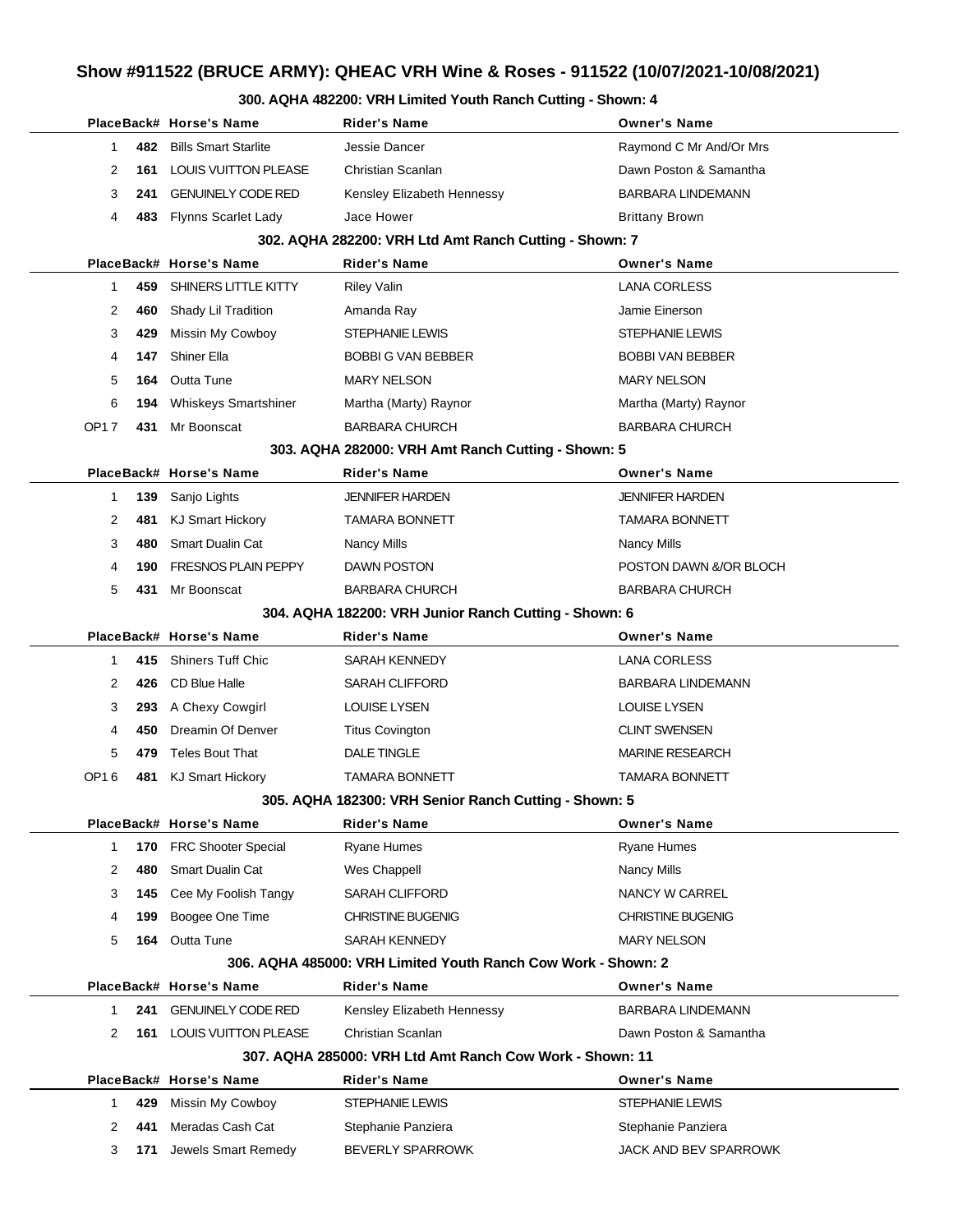## **Show #911522 (BRUCE ARMY): QHEAC VRH Wine & Roses - 911522 (10/07/2021-10/08/2021)**

#### **300. AQHA 482200: VRH Limited Youth Ranch Cutting - Shown: 4**

|                                                               |     | PlaceBack# Horse's Name         | <b>Rider's Name</b>                                      | <b>Owner's Name</b>      |  |  |
|---------------------------------------------------------------|-----|---------------------------------|----------------------------------------------------------|--------------------------|--|--|
| 1                                                             | 482 | <b>Bills Smart Starlite</b>     | Jessie Dancer                                            | Raymond C Mr And/Or Mrs  |  |  |
| 2                                                             | 161 | <b>LOUIS VUITTON PLEASE</b>     | Christian Scanlan                                        | Dawn Poston & Samantha   |  |  |
| 3                                                             | 241 | <b>GENUINELY CODE RED</b>       | Kensley Elizabeth Hennessy                               | <b>BARBARA LINDEMANN</b> |  |  |
| 4                                                             | 483 | Flynns Scarlet Lady             | Jace Hower                                               | <b>Brittany Brown</b>    |  |  |
|                                                               |     |                                 | 302. AQHA 282200: VRH Ltd Amt Ranch Cutting - Shown: 7   |                          |  |  |
|                                                               |     | PlaceBack# Horse's Name         | <b>Rider's Name</b>                                      | <b>Owner's Name</b>      |  |  |
| 1                                                             | 459 | SHINERS LITTLE KITTY            | <b>Riley Valin</b>                                       | <b>LANA CORLESS</b>      |  |  |
| 2                                                             | 460 | Shady Lil Tradition             | Amanda Ray                                               | Jamie Einerson           |  |  |
| 3                                                             | 429 | Missin My Cowboy                | STEPHANIE LEWIS                                          | STEPHANIE LEWIS          |  |  |
| 4                                                             | 147 | <b>Shiner Ella</b>              | <b>BOBBI G VAN BEBBER</b>                                | <b>BOBBI VAN BEBBER</b>  |  |  |
| 5                                                             | 164 | <b>Outta Tune</b>               | <b>MARY NELSON</b>                                       | <b>MARY NELSON</b>       |  |  |
| 6                                                             | 194 | <b>Whiskeys Smartshiner</b>     | Martha (Marty) Raynor                                    | Martha (Marty) Raynor    |  |  |
| OP17                                                          | 431 | Mr Boonscat                     | <b>BARBARA CHURCH</b>                                    | <b>BARBARA CHURCH</b>    |  |  |
|                                                               |     |                                 | 303. AQHA 282000: VRH Amt Ranch Cutting - Shown: 5       |                          |  |  |
|                                                               |     | PlaceBack# Horse's Name         | <b>Rider's Name</b>                                      | <b>Owner's Name</b>      |  |  |
| 1                                                             | 139 | Sanjo Lights                    | <b>JENNIFER HARDEN</b>                                   | <b>JENNIFER HARDEN</b>   |  |  |
| 2                                                             | 481 | KJ Smart Hickory                | <b>TAMARA BONNETT</b>                                    | <b>TAMARA BONNETT</b>    |  |  |
| 3                                                             | 480 | Smart Dualin Cat                | <b>Nancy Mills</b>                                       | Nancy Mills              |  |  |
| 4                                                             | 190 | <b>FRESNOS PLAIN PEPPY</b>      | DAWN POSTON                                              | POSTON DAWN &/OR BLOCH   |  |  |
| 5                                                             | 431 | Mr Boonscat                     | <b>BARBARA CHURCH</b>                                    | <b>BARBARA CHURCH</b>    |  |  |
|                                                               |     |                                 | 304. AQHA 182200: VRH Junior Ranch Cutting - Shown: 6    |                          |  |  |
|                                                               |     | PlaceBack# Horse's Name         | <b>Rider's Name</b>                                      | <b>Owner's Name</b>      |  |  |
| 1                                                             | 415 | <b>Shiners Tuff Chic</b>        | SARAH KENNEDY                                            | <b>LANA CORLESS</b>      |  |  |
| 2                                                             | 426 | CD Blue Halle                   | <b>SARAH CLIFFORD</b>                                    | <b>BARBARA LINDEMANN</b> |  |  |
| 3                                                             | 293 | A Chexy Cowgirl                 | <b>LOUISE LYSEN</b>                                      | <b>LOUISE LYSEN</b>      |  |  |
| 4                                                             | 450 | Dreamin Of Denver               | <b>Titus Covington</b>                                   | <b>CLINT SWENSEN</b>     |  |  |
| 5                                                             | 479 | <b>Teles Bout That</b>          | DALE TINGLE                                              | <b>MARINE RESEARCH</b>   |  |  |
| OP16                                                          | 481 | <b>KJ Smart Hickory</b>         | <b>TAMARA BONNETT</b>                                    | <b>TAMARA BONNETT</b>    |  |  |
|                                                               |     |                                 | 305. AQHA 182300: VRH Senior Ranch Cutting - Shown: 5    |                          |  |  |
|                                                               |     | PlaceBack# Horse's Name         | <b>Rider's Name</b>                                      | <b>Owner's Name</b>      |  |  |
| 1                                                             | 170 | FRC Shooter Special             | Ryane Humes                                              | <b>Ryane Humes</b>       |  |  |
| 2                                                             | 480 | <b>Smart Dualin Cat</b>         | Wes Chappell                                             | <b>Nancy Mills</b>       |  |  |
| 3                                                             | 145 | Cee My Foolish Tangy            | SARAH CLIFFORD                                           | NANCY W CARREL           |  |  |
| 4                                                             | 199 | Boogee One Time                 | <b>CHRISTINE BUGENIG</b>                                 | <b>CHRISTINE BUGENIG</b> |  |  |
| 5                                                             | 164 | Outta Tune                      | SARAH KENNEDY                                            | <b>MARY NELSON</b>       |  |  |
| 306. AQHA 485000: VRH Limited Youth Ranch Cow Work - Shown: 2 |     |                                 |                                                          |                          |  |  |
|                                                               |     | PlaceBack# Horse's Name         | <b>Rider's Name</b>                                      | <b>Owner's Name</b>      |  |  |
| 1                                                             | 241 | <b>GENUINELY CODE RED</b>       | Kensley Elizabeth Hennessy                               | <b>BARBARA LINDEMANN</b> |  |  |
| 2                                                             |     | <b>161 LOUIS VUITTON PLEASE</b> | Christian Scanlan                                        | Dawn Poston & Samantha   |  |  |
|                                                               |     |                                 | 307, AQHA 285000: VRH Ltd Amt Ranch Cow Work - Shown: 11 |                          |  |  |
|                                                               |     | PlaceBack# Horse's Name         | Rider's Name                                             | <b>Owner's Name</b>      |  |  |
| 1.                                                            | 429 | Missin My Cowboy                | STEPHANIE LEWIS                                          | STEPHANIE LEWIS          |  |  |
| 2                                                             | 441 | Meradas Cash Cat                | Stephanie Panziera                                       | Stephanie Panziera       |  |  |
|                                                               |     | Jewels Smart Remedy             | BEVERLY SPARROWK                                         | JACK AND BEV SPARROWK    |  |  |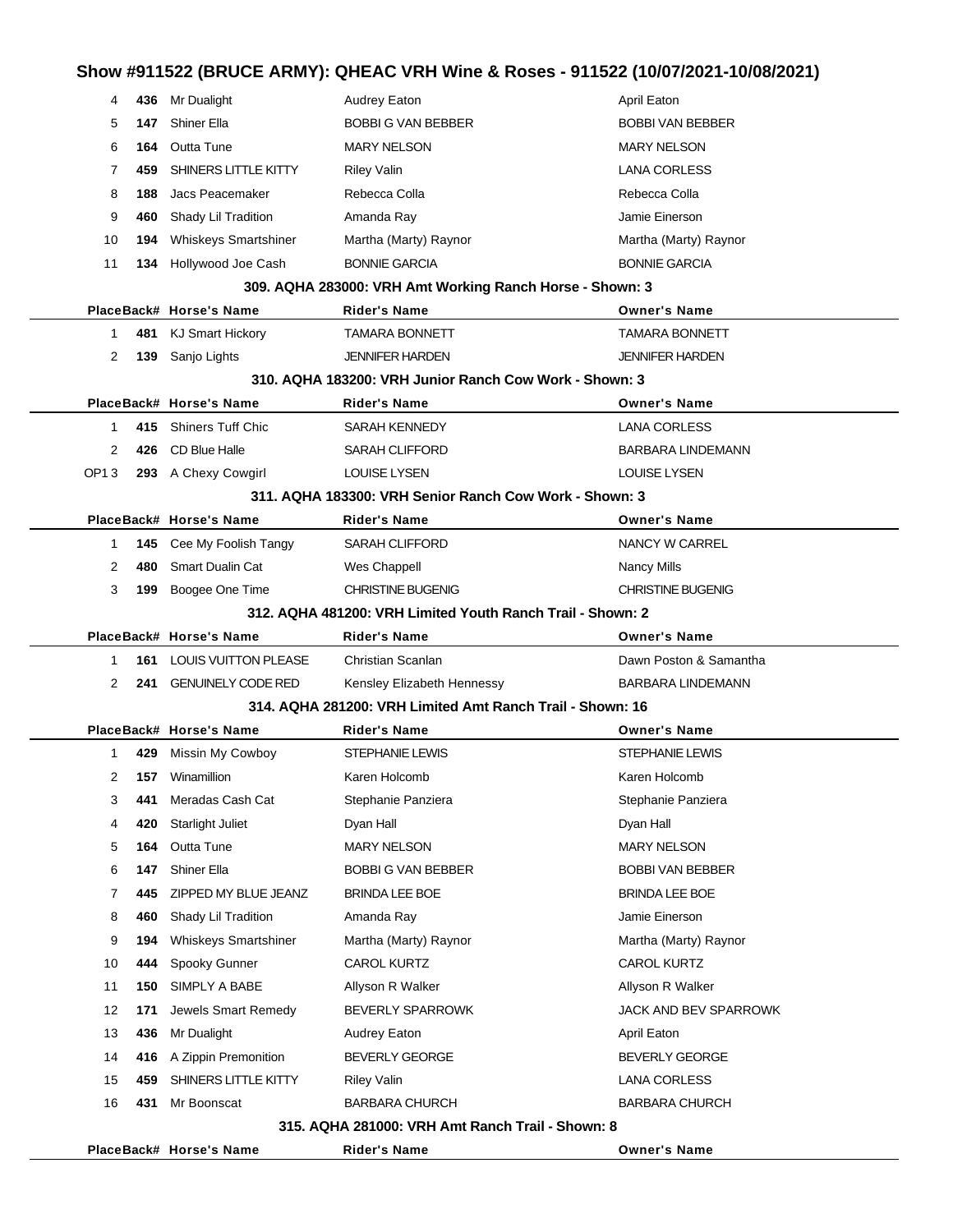## **Show #911522 (BRUCE ARMY): QHEAC VRH Wine & Roses - 911522 (10/07/2021-10/08/2021)**

| 4                | 436 | Mr Dualight                 | <b>Audrey Eaton</b>                                        | April Eaton              |
|------------------|-----|-----------------------------|------------------------------------------------------------|--------------------------|
| 5                | 147 | <b>Shiner Ella</b>          | <b>BOBBI G VAN BEBBER</b>                                  | <b>BOBBI VAN BEBBER</b>  |
| 6                | 164 | Outta Tune                  | <b>MARY NELSON</b>                                         | <b>MARY NELSON</b>       |
| 7                | 459 | SHINERS LITTLE KITTY        | <b>Riley Valin</b>                                         | <b>LANA CORLESS</b>      |
| 8                | 188 | Jacs Peacemaker             | Rebecca Colla                                              | Rebecca Colla            |
| 9                | 460 | Shady Lil Tradition         | Amanda Ray                                                 | Jamie Einerson           |
| 10               | 194 | <b>Whiskeys Smartshiner</b> | Martha (Marty) Raynor                                      | Martha (Marty) Raynor    |
| 11               | 134 | Hollywood Joe Cash          | <b>BONNIE GARCIA</b>                                       | <b>BONNIE GARCIA</b>     |
|                  |     |                             | 309. AQHA 283000: VRH Amt Working Ranch Horse - Shown: 3   |                          |
|                  |     | PlaceBack# Horse's Name     | <b>Rider's Name</b>                                        | <b>Owner's Name</b>      |
| 1                |     | 481 KJ Smart Hickory        | <b>TAMARA BONNETT</b>                                      | <b>TAMARA BONNETT</b>    |
| 2                | 139 | Sanjo Lights                | <b>JENNIFER HARDEN</b>                                     | <b>JENNIFER HARDEN</b>   |
|                  |     |                             | 310. AQHA 183200: VRH Junior Ranch Cow Work - Shown: 3     |                          |
|                  |     | PlaceBack# Horse's Name     | <b>Rider's Name</b>                                        | <b>Owner's Name</b>      |
| 1                | 415 | <b>Shiners Tuff Chic</b>    | <b>SARAH KENNEDY</b>                                       | <b>LANA CORLESS</b>      |
| 2                | 426 | CD Blue Halle               | <b>SARAH CLIFFORD</b>                                      | <b>BARBARA LINDEMANN</b> |
| OP <sub>13</sub> |     | 293 A Chexy Cowgirl         | <b>LOUISE LYSEN</b>                                        | <b>LOUISE LYSEN</b>      |
|                  |     |                             | 311. AQHA 183300: VRH Senior Ranch Cow Work - Shown: 3     |                          |
|                  |     | PlaceBack# Horse's Name     | <b>Rider's Name</b>                                        | <b>Owner's Name</b>      |
| 1                |     | 145 Cee My Foolish Tangy    | <b>SARAH CLIFFORD</b>                                      | NANCY W CARREL           |
| 2                | 480 | Smart Dualin Cat            | Wes Chappell                                               | <b>Nancy Mills</b>       |
| 3                | 199 | Boogee One Time             | <b>CHRISTINE BUGENIG</b>                                   | <b>CHRISTINE BUGENIG</b> |
|                  |     |                             | 312. AQHA 481200: VRH Limited Youth Ranch Trail - Shown: 2 |                          |
|                  |     | PlaceBack# Horse's Name     | <b>Rider's Name</b>                                        | <b>Owner's Name</b>      |
| 1                | 161 | LOUIS VUITTON PLEASE        | Christian Scanlan                                          | Dawn Poston & Samantha   |
| 2                | 241 | <b>GENUINELY CODE RED</b>   | Kensley Elizabeth Hennessy                                 | <b>BARBARA LINDEMANN</b> |
|                  |     |                             | 314. AQHA 281200: VRH Limited Amt Ranch Trail - Shown: 16  |                          |
|                  |     | PlaceBack# Horse's Name     | Rider's Name                                               | <b>Owner's Name</b>      |
| 1                | 429 | Missin My Cowboy            | <b>STEPHANIE LEWIS</b>                                     | <b>STEPHANIE LEWIS</b>   |
| 2                |     | 157 Winamillion             | Karen Holcomb                                              | Karen Holcomb            |
| 3                | 441 | Meradas Cash Cat            | Stephanie Panziera                                         | Stephanie Panziera       |
| 4                | 420 | <b>Starlight Juliet</b>     | Dyan Hall                                                  | Dyan Hall                |
| 5                | 164 | Outta Tune                  | <b>MARY NELSON</b>                                         | <b>MARY NELSON</b>       |
| 6                | 147 | Shiner Ella                 | <b>BOBBI G VAN BEBBER</b>                                  | <b>BOBBI VAN BEBBER</b>  |
| 7                | 445 | ZIPPED MY BLUE JEANZ        | BRINDA LEE BOE                                             | <b>BRINDA LEE BOE</b>    |
| 8                | 460 | Shady Lil Tradition         | Amanda Ray                                                 | Jamie Einerson           |
| 9                | 194 | <b>Whiskeys Smartshiner</b> | Martha (Marty) Raynor                                      | Martha (Marty) Raynor    |
| 10               | 444 | Spooky Gunner               | <b>CAROL KURTZ</b>                                         | <b>CAROL KURTZ</b>       |
| 11               | 150 | SIMPLY A BABE               | Allyson R Walker                                           | Allyson R Walker         |
| 12               | 171 | Jewels Smart Remedy         | <b>BEVERLY SPARROWK</b>                                    | JACK AND BEV SPARROWK    |
| 13               | 436 | Mr Dualight                 | <b>Audrey Eaton</b>                                        | April Eaton              |
| 14               |     | 416 A Zippin Premonition    | BEVERLY GEORGE                                             | <b>BEVERLY GEORGE</b>    |
| 15               | 459 | SHINERS LITTLE KITTY        | <b>Riley Valin</b>                                         | <b>LANA CORLESS</b>      |
| 16               | 431 | Mr Boonscat                 | <b>BARBARA CHURCH</b>                                      | <b>BARBARA CHURCH</b>    |
|                  |     |                             | 315. AQHA 281000: VRH Amt Ranch Trail - Shown: 8           |                          |
|                  |     |                             |                                                            |                          |

**PlaceBack# Horse's Name Rider's Name Owner's Name**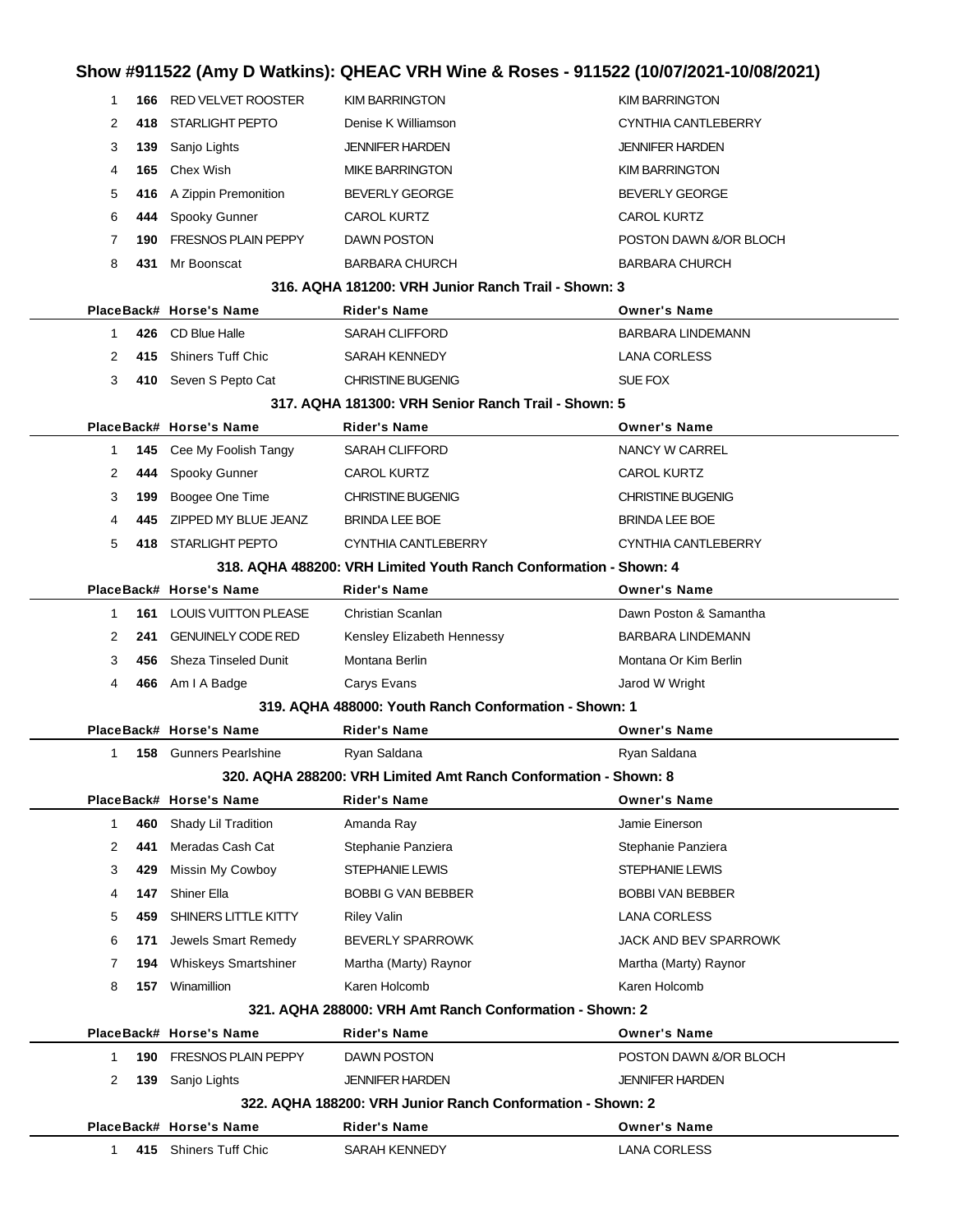### **Show #911522 (Amy D Watkins): QHEAC VRH Wine & Roses - 911522 (10/07/2021-10/08/2021)**

| 1            |     | <b>166 RED VELVET ROOSTER</b>   | <b>KIM BARRINGTON</b>                                             | <b>KIM BARRINGTON</b>        |
|--------------|-----|---------------------------------|-------------------------------------------------------------------|------------------------------|
| 2            |     | 418 STARLIGHT PEPTO             | Denise K Williamson                                               | CYNTHIA CANTLEBERRY          |
| 3            | 139 | Sanjo Lights                    | <b>JENNIFER HARDEN</b>                                            | <b>JENNIFER HARDEN</b>       |
| 4            | 165 | Chex Wish                       | <b>MIKE BARRINGTON</b>                                            | <b>KIM BARRINGTON</b>        |
| 5            |     | 416 A Zippin Premonition        | <b>BEVERLY GEORGE</b>                                             | <b>BEVERLY GEORGE</b>        |
| 6            |     | 444 Spooky Gunner               | <b>CAROL KURTZ</b>                                                | <b>CAROL KURTZ</b>           |
| 7            |     | <b>190 FRESNOS PLAIN PEPPY</b>  | DAWN POSTON                                                       | POSTON DAWN &/OR BLOCH       |
| 8            |     | 431 Mr Boonscat                 | <b>BARBARA CHURCH</b>                                             | <b>BARBARA CHURCH</b>        |
|              |     |                                 | 316, AQHA 181200: VRH Junior Ranch Trail - Shown: 3               |                              |
|              |     | PlaceBack# Horse's Name         | <b>Rider's Name</b>                                               | <b>Owner's Name</b>          |
| 1            |     | 426 CD Blue Halle               | <b>SARAH CLIFFORD</b>                                             | <b>BARBARA LINDEMANN</b>     |
| 2            |     | 415 Shiners Tuff Chic           | SARAH KENNEDY                                                     | <b>LANA CORLESS</b>          |
| 3            |     | 410 Seven S Pepto Cat           | <b>CHRISTINE BUGENIG</b>                                          | SUE FOX                      |
|              |     |                                 | 317. AQHA 181300: VRH Senior Ranch Trail - Shown: 5               |                              |
|              |     | PlaceBack# Horse's Name         | <b>Rider's Name</b>                                               | <b>Owner's Name</b>          |
| 1            |     | 145 Cee My Foolish Tangy        | SARAH CLIFFORD                                                    | NANCY W CARREL               |
| 2            |     | 444 Spooky Gunner               | <b>CAROL KURTZ</b>                                                | <b>CAROL KURTZ</b>           |
| 3            |     | 199 Boogee One Time             | <b>CHRISTINE BUGENIG</b>                                          | <b>CHRISTINE BUGENIG</b>     |
| 4            |     | 445 ZIPPED MY BLUE JEANZ        | <b>BRINDA LEE BOE</b>                                             | <b>BRINDA LEE BOE</b>        |
| 5            |     | 418 STARLIGHT PEPTO             | CYNTHIA CANTLEBERRY                                               | CYNTHIA CANTLEBERRY          |
|              |     |                                 | 318. AQHA 488200: VRH Limited Youth Ranch Conformation - Shown: 4 |                              |
|              |     | PlaceBack# Horse's Name         | <b>Rider's Name</b>                                               | <b>Owner's Name</b>          |
| 1            |     | <b>161 LOUIS VUITTON PLEASE</b> | Christian Scanlan                                                 | Dawn Poston & Samantha       |
| 2            | 241 | <b>GENUINELY CODE RED</b>       | Kensley Elizabeth Hennessy                                        | <b>BARBARA LINDEMANN</b>     |
| 3            |     | 456 Sheza Tinseled Dunit        | Montana Berlin                                                    | Montana Or Kim Berlin        |
| 4            |     | 466 Am I A Badge                | Carys Evans                                                       | Jarod W Wright               |
|              |     |                                 | 319. AQHA 488000: Youth Ranch Conformation - Shown: 1             |                              |
|              |     | PlaceBack# Horse's Name         | <b>Rider's Name</b>                                               | <b>Owner's Name</b>          |
| 1            |     | <b>158</b> Gunners Pearlshine   | Ryan Saldana                                                      | Ryan Saldana                 |
|              |     |                                 | 320. AQHA 288200: VRH Limited Amt Ranch Conformation - Shown: 8   |                              |
|              |     | PlaceBack# Horse's Name         | Rider's Name                                                      | <b>Owner's Name</b>          |
| $\mathbf{1}$ | 460 | Shady Lil Tradition             | Amanda Ray                                                        | Jamie Einerson               |
| 2            | 441 | Meradas Cash Cat                | Stephanie Panziera                                                | Stephanie Panziera           |
| 3            | 429 | Missin My Cowboy                | STEPHANIE LEWIS                                                   | STEPHANIE LEWIS              |
| 4            | 147 | Shiner Ella                     | <b>BOBBI G VAN BEBBER</b>                                         | <b>BOBBI VAN BEBBER</b>      |
| 5            | 459 | SHINERS LITTLE KITTY            | <b>Riley Valin</b>                                                | <b>LANA CORLESS</b>          |
| 6            | 171 | Jewels Smart Remedy             | <b>BEVERLY SPARROWK</b>                                           | <b>JACK AND BEV SPARROWK</b> |
| 7            |     | 194 Whiskeys Smartshiner        | Martha (Marty) Raynor                                             | Martha (Marty) Raynor        |
| 8            |     | 157 Winamillion                 | Karen Holcomb                                                     | Karen Holcomb                |
|              |     |                                 | 321. AQHA 288000: VRH Amt Ranch Conformation - Shown: 2           |                              |
|              |     | PlaceBack# Horse's Name         | Rider's Name                                                      | <b>Owner's Name</b>          |
| 1            | 190 | FRESNOS PLAIN PEPPY             | DAWN POSTON                                                       | POSTON DAWN &/OR BLOCH       |
| 2            |     | 139 Sanjo Lights                | <b>JENNIFER HARDEN</b>                                            | <b>JENNIFER HARDEN</b>       |
|              |     |                                 | 322, AQHA 188200: VRH Junior Ranch Conformation - Shown: 2        |                              |
|              |     | PlaceBack# Horse's Name         | Rider's Name                                                      | <b>Owner's Name</b>          |
| 1            |     | 415 Shiners Tuff Chic           | SARAH KENNEDY                                                     | <b>LANA CORLESS</b>          |
|              |     |                                 |                                                                   |                              |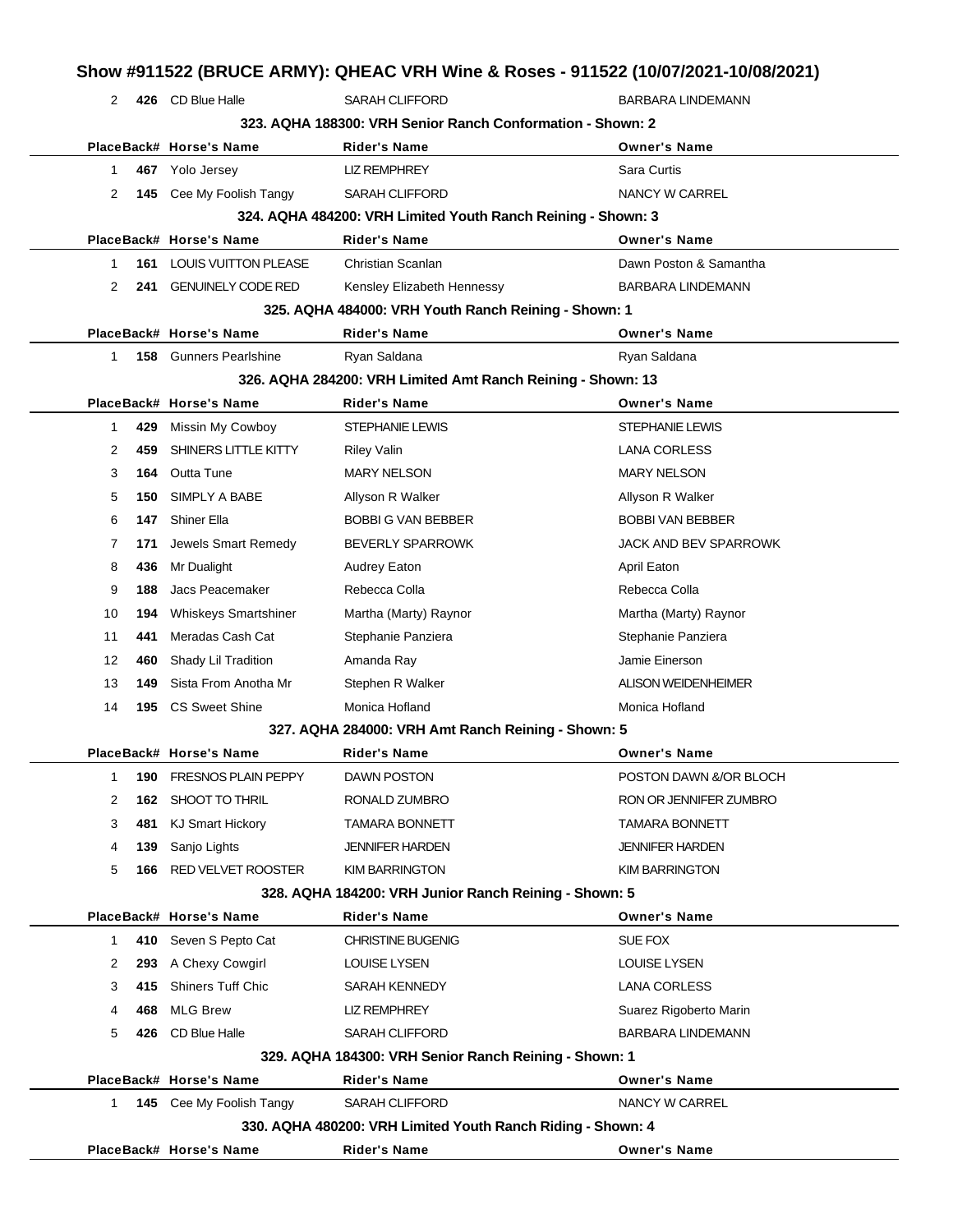| 2            |     | 426 CD Blue Halle             | <b>SARAH CLIFFORD</b>                                        | <b>BARBARA LINDEMANN</b>   |
|--------------|-----|-------------------------------|--------------------------------------------------------------|----------------------------|
|              |     |                               | 323, AQHA 188300: VRH Senior Ranch Conformation - Shown: 2   |                            |
|              |     | PlaceBack# Horse's Name       | <b>Rider's Name</b>                                          | <b>Owner's Name</b>        |
| 1.           |     | 467 Yolo Jersey               | <b>LIZ REMPHREY</b>                                          | Sara Curtis                |
| 2            |     | 145 Cee My Foolish Tangy      | <b>SARAH CLIFFORD</b>                                        | NANCY W CARREL             |
|              |     |                               | 324. AQHA 484200: VRH Limited Youth Ranch Reining - Shown: 3 |                            |
|              |     | PlaceBack# Horse's Name       | <b>Rider's Name</b>                                          | <b>Owner's Name</b>        |
| 1            | 161 | <b>LOUIS VUITTON PLEASE</b>   | Christian Scanlan                                            | Dawn Poston & Samantha     |
| 2            | 241 | <b>GENUINELY CODE RED</b>     | Kensley Elizabeth Hennessy                                   | <b>BARBARA LINDEMANN</b>   |
|              |     |                               | 325. AQHA 484000: VRH Youth Ranch Reining - Shown: 1         |                            |
|              |     | PlaceBack# Horse's Name       | <b>Rider's Name</b>                                          | <b>Owner's Name</b>        |
| $\mathbf{1}$ |     | <b>158</b> Gunners Pearlshine | Ryan Saldana                                                 | Ryan Saldana               |
|              |     |                               | 326. AQHA 284200: VRH Limited Amt Ranch Reining - Shown: 13  |                            |
|              |     | PlaceBack# Horse's Name       | <b>Rider's Name</b>                                          | <b>Owner's Name</b>        |
| 1.           | 429 | Missin My Cowboy              | <b>STEPHANIE LEWIS</b>                                       | <b>STEPHANIE LEWIS</b>     |
| 2            | 459 | SHINERS LITTLE KITTY          | <b>Riley Valin</b>                                           | <b>LANA CORLESS</b>        |
| 3            | 164 | Outta Tune                    | <b>MARY NELSON</b>                                           | <b>MARY NELSON</b>         |
| 5            | 150 | SIMPLY A BABE                 | Allyson R Walker                                             | Allyson R Walker           |
| 6            | 147 | Shiner Ella                   | <b>BOBBI G VAN BEBBER</b>                                    | <b>BOBBI VAN BEBBER</b>    |
| 7            | 171 | Jewels Smart Remedy           | <b>BEVERLY SPARROWK</b>                                      | JACK AND BEV SPARROWK      |
| 8            | 436 | Mr Dualight                   | <b>Audrey Eaton</b>                                          | <b>April Eaton</b>         |
| 9            | 188 | Jacs Peacemaker               | Rebecca Colla                                                | Rebecca Colla              |
| 10           | 194 | <b>Whiskeys Smartshiner</b>   | Martha (Marty) Raynor                                        | Martha (Marty) Raynor      |
| 11           | 441 | Meradas Cash Cat              | Stephanie Panziera                                           | Stephanie Panziera         |
| 12           | 460 | Shady Lil Tradition           | Amanda Ray                                                   | Jamie Einerson             |
| 13           | 149 | Sista From Anotha Mr          | Stephen R Walker                                             | <b>ALISON WEIDENHEIMER</b> |
| 14           |     | 195 CS Sweet Shine            | Monica Hofland                                               | Monica Hofland             |
|              |     |                               | 327. AQHA 284000: VRH Amt Ranch Reining - Shown: 5           |                            |
|              |     | PlaceBack# Horse's Name       | Rider's Name                                                 | Owner's Name               |
| 1            | 190 | FRESNOS PLAIN PEPPY           | DAWN POSTON                                                  | POSTON DAWN &/OR BLOCH     |
| 2            | 162 | SHOOT TO THRIL                | RONALD ZUMBRO                                                | RON OR JENNIFER ZUMBRO     |
| 3            | 481 | KJ Smart Hickory              | <b>TAMARA BONNETT</b>                                        | <b>TAMARA BONNETT</b>      |
| 4            | 139 | Sanjo Lights                  | <b>JENNIFER HARDEN</b>                                       | <b>JENNIFER HARDEN</b>     |
| 5            | 166 | <b>RED VELVET ROOSTER</b>     | <b>KIM BARRINGTON</b>                                        | <b>KIM BARRINGTON</b>      |
|              |     |                               | 328. AQHA 184200: VRH Junior Ranch Reining - Shown: 5        |                            |
|              |     | PlaceBack# Horse's Name       | <b>Rider's Name</b>                                          | <b>Owner's Name</b>        |
| 1.           | 410 | Seven S Pepto Cat             | <b>CHRISTINE BUGENIG</b>                                     | SUE FOX                    |
| 2            | 293 | A Chexy Cowgirl               | <b>LOUISE LYSEN</b>                                          | <b>LOUISE LYSEN</b>        |
| 3            | 415 | <b>Shiners Tuff Chic</b>      | <b>SARAH KENNEDY</b>                                         | <b>LANA CORLESS</b>        |
| 4            | 468 | <b>MLG Brew</b>               | <b>LIZ REMPHREY</b>                                          | Suarez Rigoberto Marin     |
| 5            | 426 | CD Blue Halle                 | <b>SARAH CLIFFORD</b>                                        | BARBARA LINDEMANN          |
|              |     |                               | 329. AQHA 184300: VRH Senior Ranch Reining - Shown: 1        |                            |
|              |     | PlaceBack# Horse's Name       | <b>Rider's Name</b>                                          | <b>Owner's Name</b>        |
| 1            |     | 145 Cee My Foolish Tangy      | <b>SARAH CLIFFORD</b>                                        | NANCY W CARREL             |
|              |     |                               | 330. AQHA 480200: VRH Limited Youth Ranch Riding - Shown: 4  |                            |